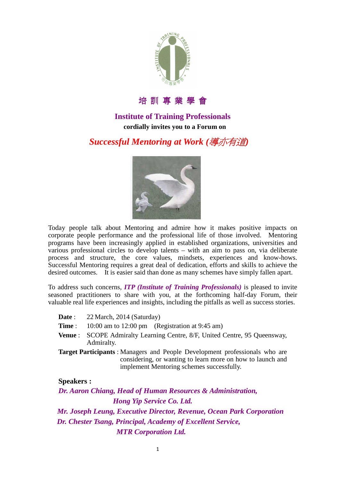

培 訓 專 業 學 會

### **Institute of Training Professionals cordially invites you to a Forum on**

# *Successful Mentoring at Work (*導亦有道*)*



Today people talk about Mentoring and admire how it makes positive impacts on corporate people performance and the professional life of those involved. Mentoring programs have been increasingly applied in established organizations, universities and various professional circles to develop talents – with an aim to pass on, via deliberate process and structure, the core values, mindsets, experiences and know-hows. Successful Mentoring requires a great deal of dedication, efforts and skills to achieve the desired outcomes. It is easier said than done as many schemes have simply fallen apart.

To address such concerns, *ITP (Institute of Training Professionals)* is pleased to invite seasoned practitioners to share with you, at the forthcoming half-day Forum, their valuable real life experiences and insights, including the pitfalls as well as success stories.

| 22 March, 2014 (Saturday)<br>Date : |                                                                                                                                                                                              |
|-------------------------------------|----------------------------------------------------------------------------------------------------------------------------------------------------------------------------------------------|
| Time :                              | 10:00 am to 12:00 pm (Registration at $9:45$ am)                                                                                                                                             |
| <b>Venue</b> :<br>Admiralty.        | SCOPE Admiralty Learning Centre, 8/F, United Centre, 95 Queensway,                                                                                                                           |
|                                     | <b>Target Participants:</b> Managers and People Development professionals who are<br>considering, or wanting to learn more on how to launch and<br>implement Mentoring schemes successfully. |
| <b>Speakers:</b>                    |                                                                                                                                                                                              |
|                                     | Dr. Aaron Chiang, Head of Human Resources & Administration,                                                                                                                                  |
|                                     |                                                                                                                                                                                              |

 *Hong Yip Service Co. Ltd. Mr. Joseph Leung, Executive Director, Revenue, Ocean Park Corporation Dr. Chester Tsang, Principal, Academy of Excellent Service, MTR Corporation Ltd.*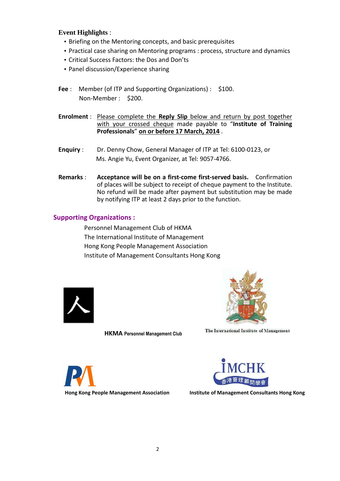#### **Event Highlights** :

- Briefing on the Mentoring concepts, and basic prerequisites
- Practical case sharing on Mentoring programs : process, structure and dynamics
- Critical Success Factors: the Dos and Don'ts
- Panel discussion/Experience sharing
- **Fee** : Member (of ITP and Supporting Organizations) : \$100. Non-Member : \$200.
- **Enrolment** : Please complete the **Reply Slip** below and return by post together with your crossed cheque made payable to "**Institute of Training Professionals**" **on or before 17 March, 2014** .
- **Enquiry** : Dr. Denny Chow, General Manager of ITP at Tel: 6100-0123, or Ms. Angie Yu, Event Organizer, at Tel: 9057-4766.
- **Remarks** : **Acceptance will be on a first-come first-served basis.** Confirmation of places will be subject to receipt of cheque payment to the Institute. No refund will be made after payment but substitution may be made by notifying ITP at least 2 days prior to the function.

#### **Supporting Organizations :**

Personnel Management Club of HKMA The International Institute of Management Hong Kong People Management Association Institute of Management Consultants Hong Kong





**HKMA Personnel Management Club** 

The International Institute of Management





**Hong Kong People Management Association State and Institute of Management Consultants Hong Kong 1**